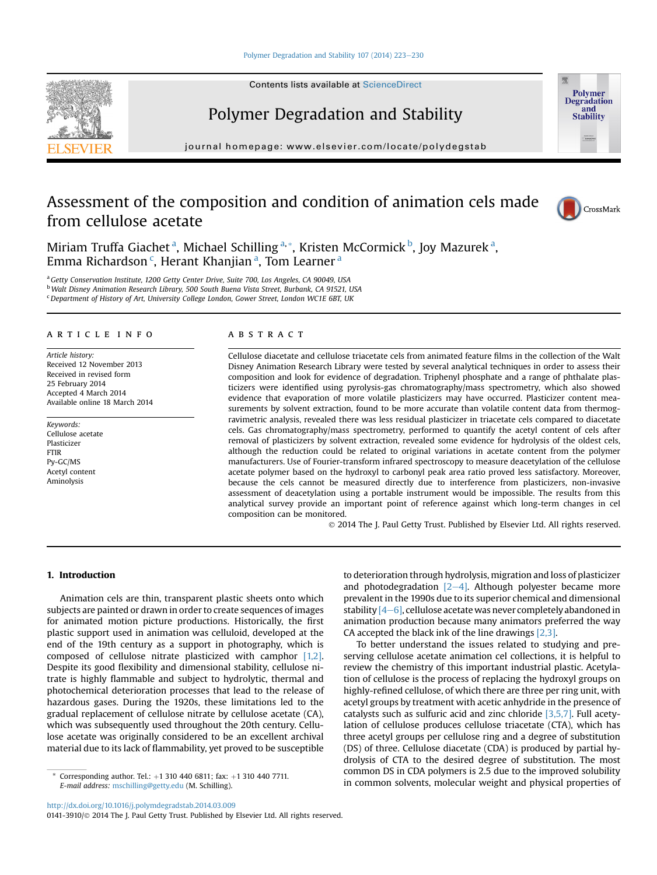## [Polymer Degradation and Stability 107 \(2014\) 223](http://dx.doi.org/10.1016/j.polymdegradstab.2014.03.009)-[230](http://dx.doi.org/10.1016/j.polymdegradstab.2014.03.009)

Contents lists available at [ScienceDirect](www.sciencedirect.com/science/journal/01413910)

# Polymer Degradation and Stability

journal homepage: [www.elsevier.com/locate/polydegstab](http://www.elsevier.com/locate/polydegstab)

# Assessment of the composition and condition of animation cels made from cellulose acetate



Polymer **Degradation** and Stability

Miriam Truffa Giachet <sup>a</sup>, Michael Schilling <sup>a, \*</sup>, Kristen McCormick <sup>b</sup>, Joy Mazurek <sup>a</sup>, Emma Richardson <sup>c</sup>, Herant Khanjian <sup>a</sup>, Tom Learner <sup>a</sup>

<sup>a</sup> Getty Conservation Institute, 1200 Getty Center Drive, Suite 700, Los Angeles, CA 90049, USA <sup>b</sup> Walt Disney Animation Research Library, 500 South Buena Vista Street, Burbank, CA 91521, USA  $c$  Department of History of Art, University College London, Gower Street, London WC1E 6BT, UK

## article info

Article history: Received 12 November 2013 Received in revised form 25 February 2014 Accepted 4 March 2014 Available online 18 March 2014

Keywords: Cellulose acetate Plasticizer FTIR Py-GC/MS Acetyl content Aminolysis

# ABSTRACT

Cellulose diacetate and cellulose triacetate cels from animated feature films in the collection of the Walt Disney Animation Research Library were tested by several analytical techniques in order to assess their composition and look for evidence of degradation. Triphenyl phosphate and a range of phthalate plasticizers were identified using pyrolysis-gas chromatography/mass spectrometry, which also showed evidence that evaporation of more volatile plasticizers may have occurred. Plasticizer content measurements by solvent extraction, found to be more accurate than volatile content data from thermogravimetric analysis, revealed there was less residual plasticizer in triacetate cels compared to diacetate cels. Gas chromatography/mass spectrometry, performed to quantify the acetyl content of cels after removal of plasticizers by solvent extraction, revealed some evidence for hydrolysis of the oldest cels, although the reduction could be related to original variations in acetate content from the polymer manufacturers. Use of Fourier-transform infrared spectroscopy to measure deacetylation of the cellulose acetate polymer based on the hydroxyl to carbonyl peak area ratio proved less satisfactory. Moreover, because the cels cannot be measured directly due to interference from plasticizers, non-invasive assessment of deacetylation using a portable instrument would be impossible. The results from this analytical survey provide an important point of reference against which long-term changes in cel composition can be monitored.

2014 The J. Paul Getty Trust. Published by Elsevier Ltd. All rights reserved.

# 1. Introduction

Animation cels are thin, transparent plastic sheets onto which subjects are painted or drawn in order to create sequences of images for animated motion picture productions. Historically, the first plastic support used in animation was celluloid, developed at the end of the 19th century as a support in photography, which is composed of cellulose nitrate plasticized with camphor [\[1,2\].](#page-7-0) Despite its good flexibility and dimensional stability, cellulose nitrate is highly flammable and subject to hydrolytic, thermal and photochemical deterioration processes that lead to the release of hazardous gases. During the 1920s, these limitations led to the gradual replacement of cellulose nitrate by cellulose acetate (CA), which was subsequently used throughout the 20th century. Cellulose acetate was originally considered to be an excellent archival material due to its lack of flammability, yet proved to be susceptible

to deterioration through hydrolysis, migration and loss of plasticizer and photodegradation  $[2-4]$  $[2-4]$ . Although polyester became more prevalent in the 1990s due to its superior chemical and dimensional stability  $[4-6]$  $[4-6]$ , cellulose acetate was never completely abandoned in animation production because many animators preferred the way CA accepted the black ink of the line drawings [\[2,3\].](#page-7-0)

To better understand the issues related to studying and preserving cellulose acetate animation cel collections, it is helpful to review the chemistry of this important industrial plastic. Acetylation of cellulose is the process of replacing the hydroxyl groups on highly-refined cellulose, of which there are three per ring unit, with acetyl groups by treatment with acetic anhydride in the presence of catalysts such as sulfuric acid and zinc chloride [\[3,5,7\]](#page-7-0). Full acetylation of cellulose produces cellulose triacetate (CTA), which has three acetyl groups per cellulose ring and a degree of substitution (DS) of three. Cellulose diacetate (CDA) is produced by partial hydrolysis of CTA to the desired degree of substitution. The most common DS in CDA polymers is 2.5 due to the improved solubility Corresponding author. Tel.: +1 310 440 6811; fax: +1 310 440 7711.<br>
F-mail address: mschilling@getty.edu (M. Schilling) in common solvents, molecular weight and physical properties of

0141-3910/ 2014 The J. Paul Getty Trust. Published by Elsevier Ltd. All rights reserved.

E-mail address: [mschilling@getty.edu](mailto:mschilling@getty.edu) (M. Schilling).

<http://dx.doi.org/10.1016/j.polymdegradstab.2014.03.009>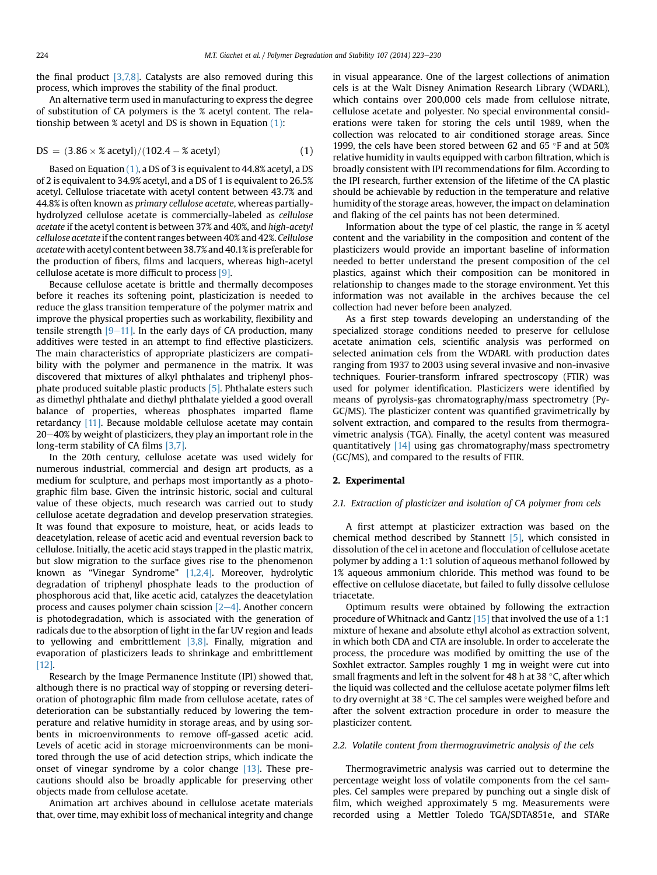the final product [\[3,7,8\]](#page-7-0). Catalysts are also removed during this process, which improves the stability of the final product.

An alternative term used in manufacturing to express the degree of substitution of CA polymers is the % acetyl content. The relationship between % acetyl and DS is shown in Equation (1):

$$
DS = (3.86 \times % \text{ acetyl})/(102.4 - % \text{ acetyl}) \tag{1}
$$

Based on Equation (1), a DS of 3 is equivalent to 44.8% acetyl, a DS of 2 is equivalent to 34.9% acetyl, and a DS of 1 is equivalent to 26.5% acetyl. Cellulose triacetate with acetyl content between 43.7% and 44.8% is often known as primary cellulose acetate, whereas partiallyhydrolyzed cellulose acetate is commercially-labeled as cellulose acetate if the acetyl content is between 37% and 40%, and high-acetyl cellulose acetate if the content ranges between 40% and 42%. Cellulose acetatewith acetyl content between 38.7% and 40.1% is preferable for the production of fibers, films and lacquers, whereas high-acetyl cellulose acetate is more difficult to process [\[9\].](#page-7-0)

Because cellulose acetate is brittle and thermally decomposes before it reaches its softening point, plasticization is needed to reduce the glass transition temperature of the polymer matrix and improve the physical properties such as workability, flexibility and tensile strength  $[9-11]$  $[9-11]$ . In the early days of CA production, many additives were tested in an attempt to find effective plasticizers. The main characteristics of appropriate plasticizers are compatibility with the polymer and permanence in the matrix. It was discovered that mixtures of alkyl phthalates and triphenyl phosphate produced suitable plastic products [\[5\].](#page-7-0) Phthalate esters such as dimethyl phthalate and diethyl phthalate yielded a good overall balance of properties, whereas phosphates imparted flame retardancy [\[11\]](#page-7-0). Because moldable cellulose acetate may contain  $20-40%$  by weight of plasticizers, they play an important role in the long-term stability of CA films [\[3,7\]](#page-7-0).

In the 20th century, cellulose acetate was used widely for numerous industrial, commercial and design art products, as a medium for sculpture, and perhaps most importantly as a photographic film base. Given the intrinsic historic, social and cultural value of these objects, much research was carried out to study cellulose acetate degradation and develop preservation strategies. It was found that exposure to moisture, heat, or acids leads to deacetylation, release of acetic acid and eventual reversion back to cellulose. Initially, the acetic acid stays trapped in the plastic matrix, but slow migration to the surface gives rise to the phenomenon known as "Vinegar Syndrome" [\[1,2,4\]](#page-7-0). Moreover, hydrolytic degradation of triphenyl phosphate leads to the production of phosphorous acid that, like acetic acid, catalyzes the deacetylation process and causes polymer chain scission  $[2-4]$  $[2-4]$ . Another concern is photodegradation, which is associated with the generation of radicals due to the absorption of light in the far UV region and leads to yellowing and embrittlement [\[3,8\].](#page-7-0) Finally, migration and evaporation of plasticizers leads to shrinkage and embrittlement [\[12\].](#page-7-0)

Research by the Image Permanence Institute (IPI) showed that, although there is no practical way of stopping or reversing deterioration of photographic film made from cellulose acetate, rates of deterioration can be substantially reduced by lowering the temperature and relative humidity in storage areas, and by using sorbents in microenvironments to remove off-gassed acetic acid. Levels of acetic acid in storage microenvironments can be monitored through the use of acid detection strips, which indicate the onset of vinegar syndrome by a color change [\[13\].](#page-7-0) These precautions should also be broadly applicable for preserving other objects made from cellulose acetate.

Animation art archives abound in cellulose acetate materials that, over time, may exhibit loss of mechanical integrity and change in visual appearance. One of the largest collections of animation cels is at the Walt Disney Animation Research Library (WDARL), which contains over 200,000 cels made from cellulose nitrate, cellulose acetate and polyester. No special environmental considerations were taken for storing the cels until 1989, when the collection was relocated to air conditioned storage areas. Since 1999, the cels have been stored between 62 and 65  $\degree$ F and at 50% relative humidity in vaults equipped with carbon filtration, which is broadly consistent with IPI recommendations for film. According to the IPI research, further extension of the lifetime of the CA plastic should be achievable by reduction in the temperature and relative humidity of the storage areas, however, the impact on delamination and flaking of the cel paints has not been determined.

Information about the type of cel plastic, the range in % acetyl content and the variability in the composition and content of the plasticizers would provide an important baseline of information needed to better understand the present composition of the cel plastics, against which their composition can be monitored in relationship to changes made to the storage environment. Yet this information was not available in the archives because the cel collection had never before been analyzed.

As a first step towards developing an understanding of the specialized storage conditions needed to preserve for cellulose acetate animation cels, scientific analysis was performed on selected animation cels from the WDARL with production dates ranging from 1937 to 2003 using several invasive and non-invasive techniques. Fourier-transform infrared spectroscopy (FTIR) was used for polymer identification. Plasticizers were identified by means of pyrolysis-gas chromatography/mass spectrometry (Py-GC/MS). The plasticizer content was quantified gravimetrically by solvent extraction, and compared to the results from thermogravimetric analysis (TGA). Finally, the acetyl content was measured quantitatively  $[14]$  using gas chromatography/mass spectrometry (GC/MS), and compared to the results of FTIR.

#### 2. Experimental

#### 2.1. Extraction of plasticizer and isolation of CA polymer from cels

A first attempt at plasticizer extraction was based on the chemical method described by Stannett [\[5\],](#page-7-0) which consisted in dissolution of the cel in acetone and flocculation of cellulose acetate polymer by adding a 1:1 solution of aqueous methanol followed by 1% aqueous ammonium chloride. This method was found to be effective on cellulose diacetate, but failed to fully dissolve cellulose triacetate.

Optimum results were obtained by following the extraction procedure of Whitnack and Gantz [\[15\]](#page-7-0) that involved the use of a 1:1 mixture of hexane and absolute ethyl alcohol as extraction solvent, in which both CDA and CTA are insoluble. In order to accelerate the process, the procedure was modified by omitting the use of the Soxhlet extractor. Samples roughly 1 mg in weight were cut into small fragments and left in the solvent for 48 h at 38 $\,^{\circ}$ C, after which the liquid was collected and the cellulose acetate polymer films left to dry overnight at 38  $\degree$ C. The cel samples were weighed before and after the solvent extraction procedure in order to measure the plasticizer content.

#### 2.2. Volatile content from thermogravimetric analysis of the cels

Thermogravimetric analysis was carried out to determine the percentage weight loss of volatile components from the cel samples. Cel samples were prepared by punching out a single disk of film, which weighed approximately 5 mg. Measurements were recorded using a Mettler Toledo TGA/SDTA851e, and STARe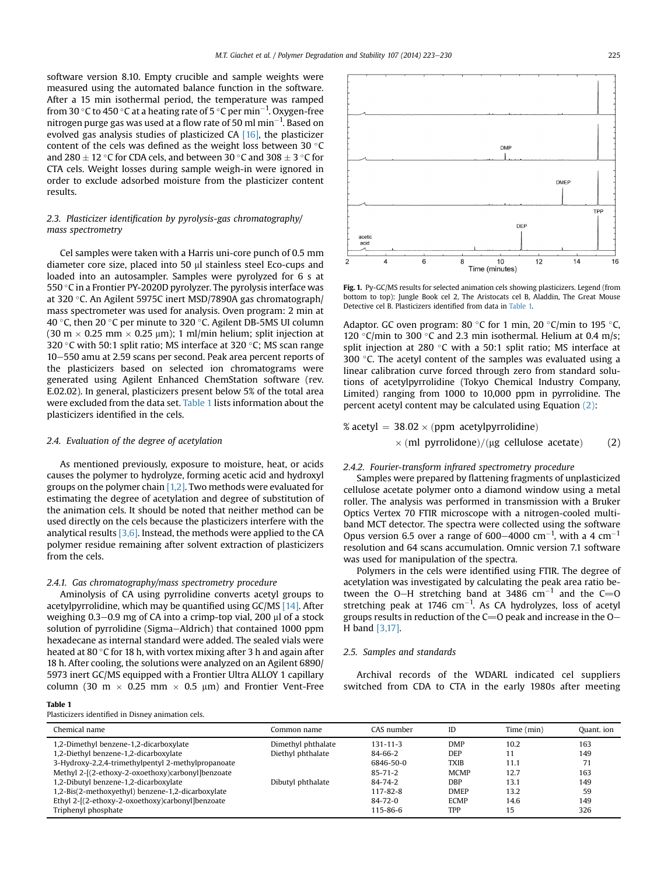<span id="page-2-0"></span>software version 8.10. Empty crucible and sample weights were measured using the automated balance function in the software. After a 15 min isothermal period, the temperature was ramped from 30 °C to 450 °C at a heating rate of 5 °C per min $^{-1}$ . Oxygen-free nitrogen purge gas was used at a flow rate of 50 ml  $\mathrm{min}^{-1}$ . Based on evolved gas analysis studies of plasticized CA [\[16\],](#page-7-0) the plasticizer content of the cels was defined as the weight loss between 30  $\degree$ C and 280  $\pm$  12 °C for CDA cels, and between 30 °C and 308  $\pm$  3 °C for CTA cels. Weight losses during sample weigh-in were ignored in order to exclude adsorbed moisture from the plasticizer content results.

# 2.3. Plasticizer identification by pyrolysis-gas chromatography/ mass spectrometry

Cel samples were taken with a Harris uni-core punch of 0.5 mm diameter core size, placed into 50 µl stainless steel Eco-cups and loaded into an autosampler. Samples were pyrolyzed for 6 s at 550  $\degree$ C in a Frontier PY-2020D pyrolyzer. The pyrolysis interface was at 320 °C. An Agilent 5975C inert MSD/7890A gas chromatograph/ mass spectrometer was used for analysis. Oven program: 2 min at 40 °C, then 20 °C per minute to 320 °C. Agilent DB-5MS UI column  $(30 \text{ m} \times 0.25 \text{ mm} \times 0.25 \text{ \mu m})$ ; 1 ml/min helium; split injection at 320 °C with 50:1 split ratio; MS interface at 320 °C; MS scan range 10-550 amu at 2.59 scans per second. Peak area percent reports of the plasticizers based on selected ion chromatograms were generated using Agilent Enhanced ChemStation software (rev. E.02.02). In general, plasticizers present below 5% of the total area were excluded from the data set. Table 1 lists information about the plasticizers identified in the cels.

### 2.4. Evaluation of the degree of acetylation

As mentioned previously, exposure to moisture, heat, or acids causes the polymer to hydrolyze, forming acetic acid and hydroxyl groups on the polymer chain  $[1,2]$ . Two methods were evaluated for estimating the degree of acetylation and degree of substitution of the animation cels. It should be noted that neither method can be used directly on the cels because the plasticizers interfere with the analytical results  $[3,6]$ . Instead, the methods were applied to the CA polymer residue remaining after solvent extraction of plasticizers from the cels.

#### 2.4.1. Gas chromatography/mass spectrometry procedure

Aminolysis of CA using pyrrolidine converts acetyl groups to acetylpyrrolidine, which may be quantified using GC/MS [\[14\].](#page-7-0) After weighing  $0.3-0.9$  mg of CA into a crimp-top vial, 200  $\mu$ l of a stock solution of pyrrolidine (Sigma–Aldrich) that contained 1000 ppm hexadecane as internal standard were added. The sealed vials were heated at 80 $\degree$ C for 18 h, with vortex mixing after 3 h and again after 18 h. After cooling, the solutions were analyzed on an Agilent 6890/ 5973 inert GC/MS equipped with a Frontier Ultra ALLOY 1 capillary column (30 m  $\times$  0.25 mm  $\times$  0.5 µm) and Frontier Vent-Free

#### Table 1

Plasticizers identified in Disney animation cels.



Fig. 1. Py-GC/MS results for selected animation cels showing plasticizers. Legend (from bottom to top): Jungle Book cel 2, The Aristocats cel B, Aladdin, The Great Mouse Detective cel B. Plasticizers identified from data in Table 1.

Adaptor. GC oven program: 80 °C for 1 min, 20 °C/min to 195 °C, 120 °C/min to 300 °C and 2.3 min isothermal. Helium at 0.4 m/s; split injection at 280  $\degree$ C with a 50:1 split ratio; MS interface at 300 $\degree$ C. The acetyl content of the samples was evaluated using a linear calibration curve forced through zero from standard solutions of acetylpyrrolidine (Tokyo Chemical Industry Company, Limited) ranging from 1000 to 10,000 ppm in pyrrolidine. The percent acetyl content may be calculated using Equation (2):

$$
\% \text{ acetyl} = 38.02 \times (\text{ppm acetylpyrrolidine})
$$

$$
\times \text{ (ml pyrrolidone)}/(\mu \text{g cellulose acetate)} \qquad (2)
$$

# 2.4.2. Fourier-transform infrared spectrometry procedure

Samples were prepared by flattening fragments of unplasticized cellulose acetate polymer onto a diamond window using a metal roller. The analysis was performed in transmission with a Bruker Optics Vertex 70 FTIR microscope with a nitrogen-cooled multiband MCT detector. The spectra were collected using the software Opus version 6.5 over a range of 600–4000 cm<sup>-1</sup>, with a 4 cm<sup>-1</sup> resolution and 64 scans accumulation. Omnic version 7.1 software was used for manipulation of the spectra.

Polymers in the cels were identified using FTIR. The degree of acetylation was investigated by calculating the peak area ratio between the O-H stretching band at 3486  $cm^{-1}$  and the C=O stretching peak at 1746  $cm^{-1}$ . As CA hydrolyzes, loss of acetyl groups results in reduction of the  $C=O$  peak and increase in the  $O-$ H band [\[3,17\]](#page-7-0).

### 2.5. Samples and standards

Archival records of the WDARL indicated cel suppliers switched from CDA to CTA in the early 1980s after meeting

| Chemical name                                      | Common name        | CAS number     | ID          | Time (min) | Quant. ion |
|----------------------------------------------------|--------------------|----------------|-------------|------------|------------|
| 1,2-Dimethyl benzene-1,2-dicarboxylate             | Dimethyl phthalate | $131 - 11 - 3$ | <b>DMP</b>  | 10.2       | 163        |
| 1,2-Diethyl benzene-1,2-dicarboxylate              | Diethyl phthalate  | 84-66-2        | DEP         | 11         | 149        |
| 3-Hydroxy-2,2,4-trimethylpentyl 2-methylpropanoate |                    | 6846-50-0      | <b>TXIB</b> | 11.1       | 71         |
| Methyl 2-[(2-ethoxy-2-oxoethoxy)carbonyl]benzoate  |                    | $85 - 71 - 2$  | <b>MCMP</b> | 12.7       | 163        |
| 1,2-Dibutyl benzene-1,2-dicarboxylate              | Dibutyl phthalate  | 84-74-2        | DBP         | 13.1       | 149        |
| 1,2-Bis(2-methoxyethyl) benzene-1,2-dicarboxylate  |                    | $117 - 82 - 8$ | <b>DMEP</b> | 13.2       | 59         |
| Ethyl 2-[(2-ethoxy-2-oxoethoxy)carbonyl]benzoate   |                    | $84 - 72 - 0$  | <b>ECMP</b> | 14.6       | 149        |
| Triphenyl phosphate                                |                    | 115-86-6       | TPP         | 15         | 326        |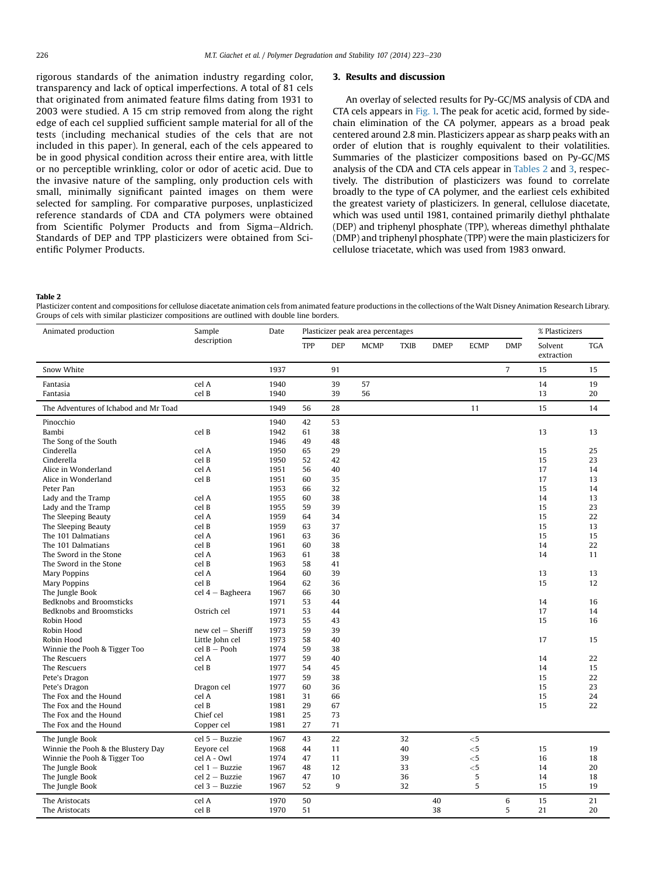<span id="page-3-0"></span>rigorous standards of the animation industry regarding color, transparency and lack of optical imperfections. A total of 81 cels that originated from animated feature films dating from 1931 to 2003 were studied. A 15 cm strip removed from along the right edge of each cel supplied sufficient sample material for all of the tests (including mechanical studies of the cels that are not included in this paper). In general, each of the cels appeared to be in good physical condition across their entire area, with little or no perceptible wrinkling, color or odor of acetic acid. Due to the invasive nature of the sampling, only production cels with small, minimally significant painted images on them were selected for sampling. For comparative purposes, unplasticized reference standards of CDA and CTA polymers were obtained from Scientific Polymer Products and from Sigma-Aldrich. Standards of DEP and TPP plasticizers were obtained from Scientific Polymer Products.

#### 3. Results and discussion

An overlay of selected results for Py-GC/MS analysis of CDA and CTA cels appears in [Fig. 1.](#page-2-0) The peak for acetic acid, formed by sidechain elimination of the CA polymer, appears as a broad peak centered around 2.8 min. Plasticizers appear as sharp peaks with an order of elution that is roughly equivalent to their volatilities. Summaries of the plasticizer compositions based on Py-GC/MS analysis of the CDA and CTA cels appear in Tables 2 and [3,](#page-4-0) respectively. The distribution of plasticizers was found to correlate broadly to the type of CA polymer, and the earliest cels exhibited the greatest variety of plasticizers. In general, cellulose diacetate, which was used until 1981, contained primarily diethyl phthalate (DEP) and triphenyl phosphate (TPP), whereas dimethyl phthalate (DMP) and triphenyl phosphate (TPP) were the main plasticizers for cellulose triacetate, which was used from 1983 onward.

Table 2

Plasticizer content and compositions for cellulose diacetate animation cels from animated feature productions in the collections of the Walt Disney Animation Research Library. Groups of cels with similar plasticizer compositions are outlined with double line borders.

| TPP<br><b>DEP</b><br><b>MCMP</b><br><b>DMEP</b><br><b>ECMP</b><br><b>DMP</b><br>Solvent<br><b>TGA</b><br><b>TXIB</b><br>extraction<br>$\overline{7}$<br>91<br>Snow White<br>1937<br>15<br>15<br>1940<br>39<br>57<br>14<br>19<br>Fantasia<br>cel A<br>1940<br>39<br>56<br>13<br>cel B<br>20<br>Fantasia<br>15<br>The Adventures of Ichabod and Mr Toad<br>1949<br>28<br>11<br>14<br>56<br>Pinocchio<br>1940<br>42<br>53<br>Bambi<br>cel B<br>1942<br>38<br>13<br>61<br>13<br>1946<br>48<br>The Song of the South<br>49<br>29<br>25<br>Cinderella<br>cel A<br>1950<br>65<br>15<br>Cinderella<br>cel B<br>1950<br>52<br>42<br>15<br>23<br>40<br>cel A<br>56<br>17<br>Alice in Wonderland<br>1951<br>14<br>cel B<br>1951<br>60<br>35<br>17<br>13<br>Alice in Wonderland<br>Peter Pan<br>1953<br>32<br>15<br>14<br>66<br>1955<br>38<br>14<br>13<br>Lady and the Tramp<br>cel A<br>60<br>cel B<br>39<br>15<br>23<br>Lady and the Tramp<br>1955<br>59<br>1959<br>34<br>15<br>22<br>The Sleeping Beauty<br>cel A<br>64<br>37<br>The Sleeping Beauty<br>cel B<br>1959<br>63<br>15<br>13<br>The 101 Dalmatians<br>cel A<br>1961<br>63<br>36<br>15<br>15<br>The 101 Dalmatians<br>cel B<br>38<br>14<br>22<br>1961<br>60<br>38<br>The Sword in the Stone<br>1963<br>cel A<br>61<br>14<br>11<br>cel B<br>1963<br>58<br>41<br>The Sword in the Stone<br>39<br><b>Mary Poppins</b><br>cel A<br>1964<br>60<br>13<br>13<br>cel B<br>36<br>15<br>12<br>Mary Poppins<br>1964<br>62<br>30<br>The Jungle Book<br>$cel$ 4 - Bagheera<br>1967<br>66<br>Bedknobs and Broomsticks<br>1971<br>53<br>44<br>14<br>16<br>Bedknobs and Broomsticks<br>Ostrich cel<br>1971<br>53<br>44<br>17<br>14<br>Robin Hood<br>1973<br>43<br>15<br>55<br>16<br>new $cel - Sheriff$<br>1973<br>59<br>39<br>Robin Hood<br>Little John cel<br>1973<br>40<br>Robin Hood<br>58<br>17<br>15<br>$cel B - Pooh$<br>Winnie the Pooh & Tigger Too<br>1974<br>59<br>38<br>cel A<br>40<br>22<br>The Rescuers<br>1977<br>59<br>14<br>cel B<br>1977<br>45<br>The Rescuers<br>54<br>14<br>15<br>Pete's Dragon<br>1977<br>59<br>38<br>15<br>22<br>Dragon cel<br>1977<br>60<br>36<br>15<br>23<br>Pete's Dragon<br>The Fox and the Hound<br>cel A<br>66<br>15<br>24<br>1981<br>31<br>The Fox and the Hound<br>cel B<br>29<br>67<br>15<br>22<br>1981<br>The Fox and the Hound<br>Chief cel<br>1981<br>25<br>73<br>The Fox and the Hound<br>Copper cel<br>1981<br>27<br>71<br>22<br>The Jungle Book<br>$cel5 - Buzzie$<br>1967<br>43<br>32<br>$<$ 5<br>40<br>Winnie the Pooh & the Blustery Day<br>1968<br>11<br>$<$ 5<br>15<br>19<br>Eevore cel<br>44<br>Winnie the Pooh & Tigger Too<br>cel A - Owl<br>1974<br>47<br>11<br>39<br>$<$ 5<br>16<br>18<br>$cel 1 - Buzzie$<br>1967<br>12<br>33<br>$<$ 5<br>20<br>The Jungle Book<br>48<br>14<br>10<br>5<br>The Jungle Book<br>$cel$ 2 - Buzzie<br>1967<br>47<br>36<br>14<br>18<br>5<br>52<br>9<br>32<br>15<br>19<br>The Jungle Book<br>cel 3 - Buzzie<br>1967<br>1970<br>50<br>40<br>6<br>15<br>21<br>The Aristocats<br>cel A<br>5<br>20<br>The Aristocats<br>cel B<br>1970<br>51<br>38<br>21 | Animated production | Sample<br>description | Date | Plasticizer peak area percentages |  |  |  |  |  | % Plasticizers |  |  |
|-------------------------------------------------------------------------------------------------------------------------------------------------------------------------------------------------------------------------------------------------------------------------------------------------------------------------------------------------------------------------------------------------------------------------------------------------------------------------------------------------------------------------------------------------------------------------------------------------------------------------------------------------------------------------------------------------------------------------------------------------------------------------------------------------------------------------------------------------------------------------------------------------------------------------------------------------------------------------------------------------------------------------------------------------------------------------------------------------------------------------------------------------------------------------------------------------------------------------------------------------------------------------------------------------------------------------------------------------------------------------------------------------------------------------------------------------------------------------------------------------------------------------------------------------------------------------------------------------------------------------------------------------------------------------------------------------------------------------------------------------------------------------------------------------------------------------------------------------------------------------------------------------------------------------------------------------------------------------------------------------------------------------------------------------------------------------------------------------------------------------------------------------------------------------------------------------------------------------------------------------------------------------------------------------------------------------------------------------------------------------------------------------------------------------------------------------------------------------------------------------------------------------------------------------------------------------------------------------------------------------------------------------------------------------------------------------------------------------------------------------------------------------------------------------------------------------------------------------------------------------------------------------------------------------------------------------------------------------------------------------------------------------------------------------------------------------------|---------------------|-----------------------|------|-----------------------------------|--|--|--|--|--|----------------|--|--|
|                                                                                                                                                                                                                                                                                                                                                                                                                                                                                                                                                                                                                                                                                                                                                                                                                                                                                                                                                                                                                                                                                                                                                                                                                                                                                                                                                                                                                                                                                                                                                                                                                                                                                                                                                                                                                                                                                                                                                                                                                                                                                                                                                                                                                                                                                                                                                                                                                                                                                                                                                                                                                                                                                                                                                                                                                                                                                                                                                                                                                                                                               |                     |                       |      |                                   |  |  |  |  |  |                |  |  |
|                                                                                                                                                                                                                                                                                                                                                                                                                                                                                                                                                                                                                                                                                                                                                                                                                                                                                                                                                                                                                                                                                                                                                                                                                                                                                                                                                                                                                                                                                                                                                                                                                                                                                                                                                                                                                                                                                                                                                                                                                                                                                                                                                                                                                                                                                                                                                                                                                                                                                                                                                                                                                                                                                                                                                                                                                                                                                                                                                                                                                                                                               |                     |                       |      |                                   |  |  |  |  |  |                |  |  |
|                                                                                                                                                                                                                                                                                                                                                                                                                                                                                                                                                                                                                                                                                                                                                                                                                                                                                                                                                                                                                                                                                                                                                                                                                                                                                                                                                                                                                                                                                                                                                                                                                                                                                                                                                                                                                                                                                                                                                                                                                                                                                                                                                                                                                                                                                                                                                                                                                                                                                                                                                                                                                                                                                                                                                                                                                                                                                                                                                                                                                                                                               |                     |                       |      |                                   |  |  |  |  |  |                |  |  |
|                                                                                                                                                                                                                                                                                                                                                                                                                                                                                                                                                                                                                                                                                                                                                                                                                                                                                                                                                                                                                                                                                                                                                                                                                                                                                                                                                                                                                                                                                                                                                                                                                                                                                                                                                                                                                                                                                                                                                                                                                                                                                                                                                                                                                                                                                                                                                                                                                                                                                                                                                                                                                                                                                                                                                                                                                                                                                                                                                                                                                                                                               |                     |                       |      |                                   |  |  |  |  |  |                |  |  |
|                                                                                                                                                                                                                                                                                                                                                                                                                                                                                                                                                                                                                                                                                                                                                                                                                                                                                                                                                                                                                                                                                                                                                                                                                                                                                                                                                                                                                                                                                                                                                                                                                                                                                                                                                                                                                                                                                                                                                                                                                                                                                                                                                                                                                                                                                                                                                                                                                                                                                                                                                                                                                                                                                                                                                                                                                                                                                                                                                                                                                                                                               |                     |                       |      |                                   |  |  |  |  |  |                |  |  |
|                                                                                                                                                                                                                                                                                                                                                                                                                                                                                                                                                                                                                                                                                                                                                                                                                                                                                                                                                                                                                                                                                                                                                                                                                                                                                                                                                                                                                                                                                                                                                                                                                                                                                                                                                                                                                                                                                                                                                                                                                                                                                                                                                                                                                                                                                                                                                                                                                                                                                                                                                                                                                                                                                                                                                                                                                                                                                                                                                                                                                                                                               |                     |                       |      |                                   |  |  |  |  |  |                |  |  |
|                                                                                                                                                                                                                                                                                                                                                                                                                                                                                                                                                                                                                                                                                                                                                                                                                                                                                                                                                                                                                                                                                                                                                                                                                                                                                                                                                                                                                                                                                                                                                                                                                                                                                                                                                                                                                                                                                                                                                                                                                                                                                                                                                                                                                                                                                                                                                                                                                                                                                                                                                                                                                                                                                                                                                                                                                                                                                                                                                                                                                                                                               |                     |                       |      |                                   |  |  |  |  |  |                |  |  |
|                                                                                                                                                                                                                                                                                                                                                                                                                                                                                                                                                                                                                                                                                                                                                                                                                                                                                                                                                                                                                                                                                                                                                                                                                                                                                                                                                                                                                                                                                                                                                                                                                                                                                                                                                                                                                                                                                                                                                                                                                                                                                                                                                                                                                                                                                                                                                                                                                                                                                                                                                                                                                                                                                                                                                                                                                                                                                                                                                                                                                                                                               |                     |                       |      |                                   |  |  |  |  |  |                |  |  |
|                                                                                                                                                                                                                                                                                                                                                                                                                                                                                                                                                                                                                                                                                                                                                                                                                                                                                                                                                                                                                                                                                                                                                                                                                                                                                                                                                                                                                                                                                                                                                                                                                                                                                                                                                                                                                                                                                                                                                                                                                                                                                                                                                                                                                                                                                                                                                                                                                                                                                                                                                                                                                                                                                                                                                                                                                                                                                                                                                                                                                                                                               |                     |                       |      |                                   |  |  |  |  |  |                |  |  |
|                                                                                                                                                                                                                                                                                                                                                                                                                                                                                                                                                                                                                                                                                                                                                                                                                                                                                                                                                                                                                                                                                                                                                                                                                                                                                                                                                                                                                                                                                                                                                                                                                                                                                                                                                                                                                                                                                                                                                                                                                                                                                                                                                                                                                                                                                                                                                                                                                                                                                                                                                                                                                                                                                                                                                                                                                                                                                                                                                                                                                                                                               |                     |                       |      |                                   |  |  |  |  |  |                |  |  |
|                                                                                                                                                                                                                                                                                                                                                                                                                                                                                                                                                                                                                                                                                                                                                                                                                                                                                                                                                                                                                                                                                                                                                                                                                                                                                                                                                                                                                                                                                                                                                                                                                                                                                                                                                                                                                                                                                                                                                                                                                                                                                                                                                                                                                                                                                                                                                                                                                                                                                                                                                                                                                                                                                                                                                                                                                                                                                                                                                                                                                                                                               |                     |                       |      |                                   |  |  |  |  |  |                |  |  |
|                                                                                                                                                                                                                                                                                                                                                                                                                                                                                                                                                                                                                                                                                                                                                                                                                                                                                                                                                                                                                                                                                                                                                                                                                                                                                                                                                                                                                                                                                                                                                                                                                                                                                                                                                                                                                                                                                                                                                                                                                                                                                                                                                                                                                                                                                                                                                                                                                                                                                                                                                                                                                                                                                                                                                                                                                                                                                                                                                                                                                                                                               |                     |                       |      |                                   |  |  |  |  |  |                |  |  |
|                                                                                                                                                                                                                                                                                                                                                                                                                                                                                                                                                                                                                                                                                                                                                                                                                                                                                                                                                                                                                                                                                                                                                                                                                                                                                                                                                                                                                                                                                                                                                                                                                                                                                                                                                                                                                                                                                                                                                                                                                                                                                                                                                                                                                                                                                                                                                                                                                                                                                                                                                                                                                                                                                                                                                                                                                                                                                                                                                                                                                                                                               |                     |                       |      |                                   |  |  |  |  |  |                |  |  |
|                                                                                                                                                                                                                                                                                                                                                                                                                                                                                                                                                                                                                                                                                                                                                                                                                                                                                                                                                                                                                                                                                                                                                                                                                                                                                                                                                                                                                                                                                                                                                                                                                                                                                                                                                                                                                                                                                                                                                                                                                                                                                                                                                                                                                                                                                                                                                                                                                                                                                                                                                                                                                                                                                                                                                                                                                                                                                                                                                                                                                                                                               |                     |                       |      |                                   |  |  |  |  |  |                |  |  |
|                                                                                                                                                                                                                                                                                                                                                                                                                                                                                                                                                                                                                                                                                                                                                                                                                                                                                                                                                                                                                                                                                                                                                                                                                                                                                                                                                                                                                                                                                                                                                                                                                                                                                                                                                                                                                                                                                                                                                                                                                                                                                                                                                                                                                                                                                                                                                                                                                                                                                                                                                                                                                                                                                                                                                                                                                                                                                                                                                                                                                                                                               |                     |                       |      |                                   |  |  |  |  |  |                |  |  |
|                                                                                                                                                                                                                                                                                                                                                                                                                                                                                                                                                                                                                                                                                                                                                                                                                                                                                                                                                                                                                                                                                                                                                                                                                                                                                                                                                                                                                                                                                                                                                                                                                                                                                                                                                                                                                                                                                                                                                                                                                                                                                                                                                                                                                                                                                                                                                                                                                                                                                                                                                                                                                                                                                                                                                                                                                                                                                                                                                                                                                                                                               |                     |                       |      |                                   |  |  |  |  |  |                |  |  |
|                                                                                                                                                                                                                                                                                                                                                                                                                                                                                                                                                                                                                                                                                                                                                                                                                                                                                                                                                                                                                                                                                                                                                                                                                                                                                                                                                                                                                                                                                                                                                                                                                                                                                                                                                                                                                                                                                                                                                                                                                                                                                                                                                                                                                                                                                                                                                                                                                                                                                                                                                                                                                                                                                                                                                                                                                                                                                                                                                                                                                                                                               |                     |                       |      |                                   |  |  |  |  |  |                |  |  |
|                                                                                                                                                                                                                                                                                                                                                                                                                                                                                                                                                                                                                                                                                                                                                                                                                                                                                                                                                                                                                                                                                                                                                                                                                                                                                                                                                                                                                                                                                                                                                                                                                                                                                                                                                                                                                                                                                                                                                                                                                                                                                                                                                                                                                                                                                                                                                                                                                                                                                                                                                                                                                                                                                                                                                                                                                                                                                                                                                                                                                                                                               |                     |                       |      |                                   |  |  |  |  |  |                |  |  |
|                                                                                                                                                                                                                                                                                                                                                                                                                                                                                                                                                                                                                                                                                                                                                                                                                                                                                                                                                                                                                                                                                                                                                                                                                                                                                                                                                                                                                                                                                                                                                                                                                                                                                                                                                                                                                                                                                                                                                                                                                                                                                                                                                                                                                                                                                                                                                                                                                                                                                                                                                                                                                                                                                                                                                                                                                                                                                                                                                                                                                                                                               |                     |                       |      |                                   |  |  |  |  |  |                |  |  |
|                                                                                                                                                                                                                                                                                                                                                                                                                                                                                                                                                                                                                                                                                                                                                                                                                                                                                                                                                                                                                                                                                                                                                                                                                                                                                                                                                                                                                                                                                                                                                                                                                                                                                                                                                                                                                                                                                                                                                                                                                                                                                                                                                                                                                                                                                                                                                                                                                                                                                                                                                                                                                                                                                                                                                                                                                                                                                                                                                                                                                                                                               |                     |                       |      |                                   |  |  |  |  |  |                |  |  |
|                                                                                                                                                                                                                                                                                                                                                                                                                                                                                                                                                                                                                                                                                                                                                                                                                                                                                                                                                                                                                                                                                                                                                                                                                                                                                                                                                                                                                                                                                                                                                                                                                                                                                                                                                                                                                                                                                                                                                                                                                                                                                                                                                                                                                                                                                                                                                                                                                                                                                                                                                                                                                                                                                                                                                                                                                                                                                                                                                                                                                                                                               |                     |                       |      |                                   |  |  |  |  |  |                |  |  |
|                                                                                                                                                                                                                                                                                                                                                                                                                                                                                                                                                                                                                                                                                                                                                                                                                                                                                                                                                                                                                                                                                                                                                                                                                                                                                                                                                                                                                                                                                                                                                                                                                                                                                                                                                                                                                                                                                                                                                                                                                                                                                                                                                                                                                                                                                                                                                                                                                                                                                                                                                                                                                                                                                                                                                                                                                                                                                                                                                                                                                                                                               |                     |                       |      |                                   |  |  |  |  |  |                |  |  |
|                                                                                                                                                                                                                                                                                                                                                                                                                                                                                                                                                                                                                                                                                                                                                                                                                                                                                                                                                                                                                                                                                                                                                                                                                                                                                                                                                                                                                                                                                                                                                                                                                                                                                                                                                                                                                                                                                                                                                                                                                                                                                                                                                                                                                                                                                                                                                                                                                                                                                                                                                                                                                                                                                                                                                                                                                                                                                                                                                                                                                                                                               |                     |                       |      |                                   |  |  |  |  |  |                |  |  |
|                                                                                                                                                                                                                                                                                                                                                                                                                                                                                                                                                                                                                                                                                                                                                                                                                                                                                                                                                                                                                                                                                                                                                                                                                                                                                                                                                                                                                                                                                                                                                                                                                                                                                                                                                                                                                                                                                                                                                                                                                                                                                                                                                                                                                                                                                                                                                                                                                                                                                                                                                                                                                                                                                                                                                                                                                                                                                                                                                                                                                                                                               |                     |                       |      |                                   |  |  |  |  |  |                |  |  |
|                                                                                                                                                                                                                                                                                                                                                                                                                                                                                                                                                                                                                                                                                                                                                                                                                                                                                                                                                                                                                                                                                                                                                                                                                                                                                                                                                                                                                                                                                                                                                                                                                                                                                                                                                                                                                                                                                                                                                                                                                                                                                                                                                                                                                                                                                                                                                                                                                                                                                                                                                                                                                                                                                                                                                                                                                                                                                                                                                                                                                                                                               |                     |                       |      |                                   |  |  |  |  |  |                |  |  |
|                                                                                                                                                                                                                                                                                                                                                                                                                                                                                                                                                                                                                                                                                                                                                                                                                                                                                                                                                                                                                                                                                                                                                                                                                                                                                                                                                                                                                                                                                                                                                                                                                                                                                                                                                                                                                                                                                                                                                                                                                                                                                                                                                                                                                                                                                                                                                                                                                                                                                                                                                                                                                                                                                                                                                                                                                                                                                                                                                                                                                                                                               |                     |                       |      |                                   |  |  |  |  |  |                |  |  |
|                                                                                                                                                                                                                                                                                                                                                                                                                                                                                                                                                                                                                                                                                                                                                                                                                                                                                                                                                                                                                                                                                                                                                                                                                                                                                                                                                                                                                                                                                                                                                                                                                                                                                                                                                                                                                                                                                                                                                                                                                                                                                                                                                                                                                                                                                                                                                                                                                                                                                                                                                                                                                                                                                                                                                                                                                                                                                                                                                                                                                                                                               |                     |                       |      |                                   |  |  |  |  |  |                |  |  |
|                                                                                                                                                                                                                                                                                                                                                                                                                                                                                                                                                                                                                                                                                                                                                                                                                                                                                                                                                                                                                                                                                                                                                                                                                                                                                                                                                                                                                                                                                                                                                                                                                                                                                                                                                                                                                                                                                                                                                                                                                                                                                                                                                                                                                                                                                                                                                                                                                                                                                                                                                                                                                                                                                                                                                                                                                                                                                                                                                                                                                                                                               |                     |                       |      |                                   |  |  |  |  |  |                |  |  |
|                                                                                                                                                                                                                                                                                                                                                                                                                                                                                                                                                                                                                                                                                                                                                                                                                                                                                                                                                                                                                                                                                                                                                                                                                                                                                                                                                                                                                                                                                                                                                                                                                                                                                                                                                                                                                                                                                                                                                                                                                                                                                                                                                                                                                                                                                                                                                                                                                                                                                                                                                                                                                                                                                                                                                                                                                                                                                                                                                                                                                                                                               |                     |                       |      |                                   |  |  |  |  |  |                |  |  |
|                                                                                                                                                                                                                                                                                                                                                                                                                                                                                                                                                                                                                                                                                                                                                                                                                                                                                                                                                                                                                                                                                                                                                                                                                                                                                                                                                                                                                                                                                                                                                                                                                                                                                                                                                                                                                                                                                                                                                                                                                                                                                                                                                                                                                                                                                                                                                                                                                                                                                                                                                                                                                                                                                                                                                                                                                                                                                                                                                                                                                                                                               |                     |                       |      |                                   |  |  |  |  |  |                |  |  |
|                                                                                                                                                                                                                                                                                                                                                                                                                                                                                                                                                                                                                                                                                                                                                                                                                                                                                                                                                                                                                                                                                                                                                                                                                                                                                                                                                                                                                                                                                                                                                                                                                                                                                                                                                                                                                                                                                                                                                                                                                                                                                                                                                                                                                                                                                                                                                                                                                                                                                                                                                                                                                                                                                                                                                                                                                                                                                                                                                                                                                                                                               |                     |                       |      |                                   |  |  |  |  |  |                |  |  |
|                                                                                                                                                                                                                                                                                                                                                                                                                                                                                                                                                                                                                                                                                                                                                                                                                                                                                                                                                                                                                                                                                                                                                                                                                                                                                                                                                                                                                                                                                                                                                                                                                                                                                                                                                                                                                                                                                                                                                                                                                                                                                                                                                                                                                                                                                                                                                                                                                                                                                                                                                                                                                                                                                                                                                                                                                                                                                                                                                                                                                                                                               |                     |                       |      |                                   |  |  |  |  |  |                |  |  |
|                                                                                                                                                                                                                                                                                                                                                                                                                                                                                                                                                                                                                                                                                                                                                                                                                                                                                                                                                                                                                                                                                                                                                                                                                                                                                                                                                                                                                                                                                                                                                                                                                                                                                                                                                                                                                                                                                                                                                                                                                                                                                                                                                                                                                                                                                                                                                                                                                                                                                                                                                                                                                                                                                                                                                                                                                                                                                                                                                                                                                                                                               |                     |                       |      |                                   |  |  |  |  |  |                |  |  |
|                                                                                                                                                                                                                                                                                                                                                                                                                                                                                                                                                                                                                                                                                                                                                                                                                                                                                                                                                                                                                                                                                                                                                                                                                                                                                                                                                                                                                                                                                                                                                                                                                                                                                                                                                                                                                                                                                                                                                                                                                                                                                                                                                                                                                                                                                                                                                                                                                                                                                                                                                                                                                                                                                                                                                                                                                                                                                                                                                                                                                                                                               |                     |                       |      |                                   |  |  |  |  |  |                |  |  |
|                                                                                                                                                                                                                                                                                                                                                                                                                                                                                                                                                                                                                                                                                                                                                                                                                                                                                                                                                                                                                                                                                                                                                                                                                                                                                                                                                                                                                                                                                                                                                                                                                                                                                                                                                                                                                                                                                                                                                                                                                                                                                                                                                                                                                                                                                                                                                                                                                                                                                                                                                                                                                                                                                                                                                                                                                                                                                                                                                                                                                                                                               |                     |                       |      |                                   |  |  |  |  |  |                |  |  |
|                                                                                                                                                                                                                                                                                                                                                                                                                                                                                                                                                                                                                                                                                                                                                                                                                                                                                                                                                                                                                                                                                                                                                                                                                                                                                                                                                                                                                                                                                                                                                                                                                                                                                                                                                                                                                                                                                                                                                                                                                                                                                                                                                                                                                                                                                                                                                                                                                                                                                                                                                                                                                                                                                                                                                                                                                                                                                                                                                                                                                                                                               |                     |                       |      |                                   |  |  |  |  |  |                |  |  |
|                                                                                                                                                                                                                                                                                                                                                                                                                                                                                                                                                                                                                                                                                                                                                                                                                                                                                                                                                                                                                                                                                                                                                                                                                                                                                                                                                                                                                                                                                                                                                                                                                                                                                                                                                                                                                                                                                                                                                                                                                                                                                                                                                                                                                                                                                                                                                                                                                                                                                                                                                                                                                                                                                                                                                                                                                                                                                                                                                                                                                                                                               |                     |                       |      |                                   |  |  |  |  |  |                |  |  |
|                                                                                                                                                                                                                                                                                                                                                                                                                                                                                                                                                                                                                                                                                                                                                                                                                                                                                                                                                                                                                                                                                                                                                                                                                                                                                                                                                                                                                                                                                                                                                                                                                                                                                                                                                                                                                                                                                                                                                                                                                                                                                                                                                                                                                                                                                                                                                                                                                                                                                                                                                                                                                                                                                                                                                                                                                                                                                                                                                                                                                                                                               |                     |                       |      |                                   |  |  |  |  |  |                |  |  |
|                                                                                                                                                                                                                                                                                                                                                                                                                                                                                                                                                                                                                                                                                                                                                                                                                                                                                                                                                                                                                                                                                                                                                                                                                                                                                                                                                                                                                                                                                                                                                                                                                                                                                                                                                                                                                                                                                                                                                                                                                                                                                                                                                                                                                                                                                                                                                                                                                                                                                                                                                                                                                                                                                                                                                                                                                                                                                                                                                                                                                                                                               |                     |                       |      |                                   |  |  |  |  |  |                |  |  |
|                                                                                                                                                                                                                                                                                                                                                                                                                                                                                                                                                                                                                                                                                                                                                                                                                                                                                                                                                                                                                                                                                                                                                                                                                                                                                                                                                                                                                                                                                                                                                                                                                                                                                                                                                                                                                                                                                                                                                                                                                                                                                                                                                                                                                                                                                                                                                                                                                                                                                                                                                                                                                                                                                                                                                                                                                                                                                                                                                                                                                                                                               |                     |                       |      |                                   |  |  |  |  |  |                |  |  |
|                                                                                                                                                                                                                                                                                                                                                                                                                                                                                                                                                                                                                                                                                                                                                                                                                                                                                                                                                                                                                                                                                                                                                                                                                                                                                                                                                                                                                                                                                                                                                                                                                                                                                                                                                                                                                                                                                                                                                                                                                                                                                                                                                                                                                                                                                                                                                                                                                                                                                                                                                                                                                                                                                                                                                                                                                                                                                                                                                                                                                                                                               |                     |                       |      |                                   |  |  |  |  |  |                |  |  |
|                                                                                                                                                                                                                                                                                                                                                                                                                                                                                                                                                                                                                                                                                                                                                                                                                                                                                                                                                                                                                                                                                                                                                                                                                                                                                                                                                                                                                                                                                                                                                                                                                                                                                                                                                                                                                                                                                                                                                                                                                                                                                                                                                                                                                                                                                                                                                                                                                                                                                                                                                                                                                                                                                                                                                                                                                                                                                                                                                                                                                                                                               |                     |                       |      |                                   |  |  |  |  |  |                |  |  |
|                                                                                                                                                                                                                                                                                                                                                                                                                                                                                                                                                                                                                                                                                                                                                                                                                                                                                                                                                                                                                                                                                                                                                                                                                                                                                                                                                                                                                                                                                                                                                                                                                                                                                                                                                                                                                                                                                                                                                                                                                                                                                                                                                                                                                                                                                                                                                                                                                                                                                                                                                                                                                                                                                                                                                                                                                                                                                                                                                                                                                                                                               |                     |                       |      |                                   |  |  |  |  |  |                |  |  |
|                                                                                                                                                                                                                                                                                                                                                                                                                                                                                                                                                                                                                                                                                                                                                                                                                                                                                                                                                                                                                                                                                                                                                                                                                                                                                                                                                                                                                                                                                                                                                                                                                                                                                                                                                                                                                                                                                                                                                                                                                                                                                                                                                                                                                                                                                                                                                                                                                                                                                                                                                                                                                                                                                                                                                                                                                                                                                                                                                                                                                                                                               |                     |                       |      |                                   |  |  |  |  |  |                |  |  |
|                                                                                                                                                                                                                                                                                                                                                                                                                                                                                                                                                                                                                                                                                                                                                                                                                                                                                                                                                                                                                                                                                                                                                                                                                                                                                                                                                                                                                                                                                                                                                                                                                                                                                                                                                                                                                                                                                                                                                                                                                                                                                                                                                                                                                                                                                                                                                                                                                                                                                                                                                                                                                                                                                                                                                                                                                                                                                                                                                                                                                                                                               |                     |                       |      |                                   |  |  |  |  |  |                |  |  |
|                                                                                                                                                                                                                                                                                                                                                                                                                                                                                                                                                                                                                                                                                                                                                                                                                                                                                                                                                                                                                                                                                                                                                                                                                                                                                                                                                                                                                                                                                                                                                                                                                                                                                                                                                                                                                                                                                                                                                                                                                                                                                                                                                                                                                                                                                                                                                                                                                                                                                                                                                                                                                                                                                                                                                                                                                                                                                                                                                                                                                                                                               |                     |                       |      |                                   |  |  |  |  |  |                |  |  |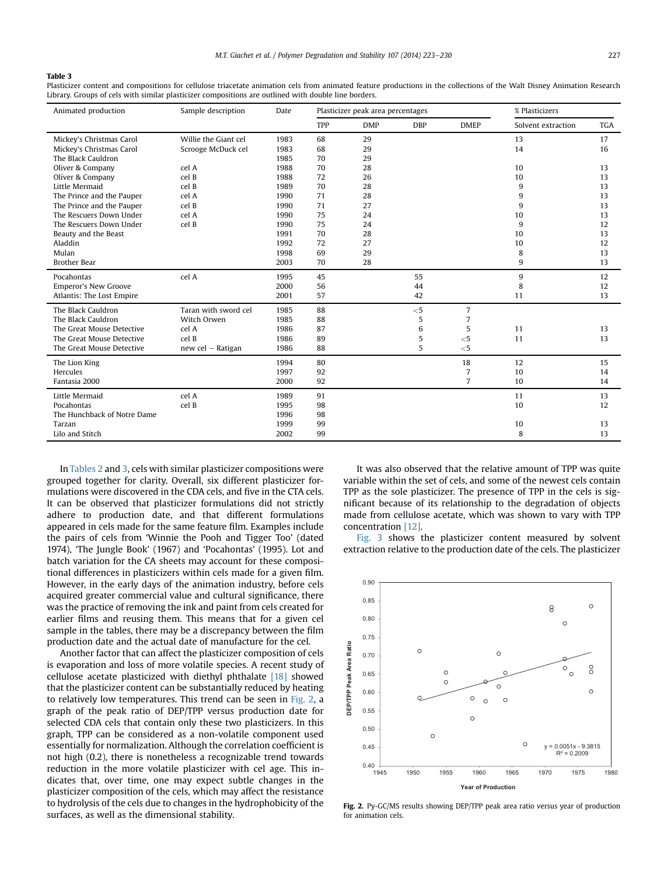#### <span id="page-4-0"></span>Table 3

Plasticizer content and compositions for cellulose triacetate animation cels from animated feature productions in the collections of the Walt Disney Animation Research Library. Groups of cels with similar plasticizer compositions are outlined with double line borders.

| Animated production         | Sample description   | Date | Plasticizer peak area percentages |            |            |                | % Plasticizers     |            |  |
|-----------------------------|----------------------|------|-----------------------------------|------------|------------|----------------|--------------------|------------|--|
|                             |                      |      | TPP                               | <b>DMP</b> | <b>DBP</b> | <b>DMEP</b>    | Solvent extraction | <b>TGA</b> |  |
| Mickey's Christmas Carol    | Willie the Giant cel | 1983 | 68                                | 29         |            |                | 13                 | 17         |  |
| Mickey's Christmas Carol    | Scrooge McDuck cel   | 1983 | 68                                | 29         |            |                | 14                 | 16         |  |
| The Black Cauldron          |                      | 1985 | 70                                | 29         |            |                |                    |            |  |
| Oliver & Company            | cel A                | 1988 | 70                                | 28         |            |                | 10                 | 13         |  |
| Oliver & Company            | cel B                | 1988 | 72                                | 26         |            |                | 10                 | 13         |  |
| Little Mermaid              | cel B                | 1989 | 70                                | 28         |            |                | 9                  | 13         |  |
| The Prince and the Pauper   | cel A                | 1990 | 71                                | 28         |            |                | 9                  | 13         |  |
| The Prince and the Pauper   | cel B                | 1990 | 71                                | 27         |            |                | 9                  | 13         |  |
| The Rescuers Down Under     | cel A                | 1990 | 75                                | 24         |            |                | 10                 | 13         |  |
| The Rescuers Down Under     | cel B                | 1990 | 75                                | 24         |            |                | 9                  | 12         |  |
| Beauty and the Beast        |                      | 1991 | 70                                | 28         |            |                | 10                 | 13         |  |
| Aladdin                     |                      | 1992 | 72                                | 27         |            |                | 10                 | 12         |  |
| Mulan                       |                      | 1998 | 69                                | 29         |            |                | 8                  | 13         |  |
| <b>Brother Bear</b>         |                      | 2003 | 70                                | 28         |            |                | 9                  | 13         |  |
| Pocahontas                  | cel A                | 1995 | 45                                |            | 55         |                | 9                  | 12         |  |
| <b>Emperor's New Groove</b> |                      | 2000 | 56                                |            | 44         |                | 8                  | 12         |  |
| Atlantis: The Lost Empire   |                      | 2001 | 57                                |            | 42         |                | 11                 | 13         |  |
| The Black Cauldron          | Taran with sword cel | 1985 | 88                                |            | $<$ 5      | 7              |                    |            |  |
| The Black Cauldron          | Witch Orwen          | 1985 | 88                                |            | 5          | 7              |                    |            |  |
| The Great Mouse Detective   | cel A                | 1986 | 87                                |            | 6          | 5              | 11                 | 13         |  |
| The Great Mouse Detective   | cel B                | 1986 | 89                                |            | 5          | $<$ 5          | 11                 | 13         |  |
| The Great Mouse Detective   | new cel - Ratigan    | 1986 | 88                                |            | 5          | $<$ 5          |                    |            |  |
| The Lion King               |                      | 1994 | 80                                |            |            | 18             | 12                 | 15         |  |
| Hercules                    |                      | 1997 | 92                                |            |            | 7              | 10                 | 14         |  |
| Fantasia 2000               |                      | 2000 | 92                                |            |            | $\overline{7}$ | 10                 | 14         |  |
| Little Mermaid              | cel A                | 1989 | 91                                |            |            |                | 11                 | 13         |  |
| Pocahontas                  | cel B                | 1995 | 98                                |            |            |                | 10                 | 12         |  |
| The Hunchback of Notre Dame |                      | 1996 | 98                                |            |            |                |                    |            |  |
| Tarzan                      |                      | 1999 | 99                                |            |            |                | 10                 | 13         |  |
| Lilo and Stitch             |                      | 2002 | 99                                |            |            |                | 8                  | 13         |  |

In [Tables 2](#page-3-0) and 3, cels with similar plasticizer compositions were grouped together for clarity. Overall, six different plasticizer formulations were discovered in the CDA cels, and five in the CTA cels. It can be observed that plasticizer formulations did not strictly adhere to production date, and that different formulations appeared in cels made for the same feature film. Examples include the pairs of cels from 'Winnie the Pooh and Tigger Too' (dated 1974), 'The Jungle Book' (1967) and 'Pocahontas' (1995). Lot and batch variation for the CA sheets may account for these compositional differences in plasticizers within cels made for a given film. However, in the early days of the animation industry, before cels acquired greater commercial value and cultural significance, there was the practice of removing the ink and paint from cels created for earlier films and reusing them. This means that for a given cel sample in the tables, there may be a discrepancy between the film production date and the actual date of manufacture for the cel.

Another factor that can affect the plasticizer composition of cels is evaporation and loss of more volatile species. A recent study of cellulose acetate plasticized with diethyl phthalate [\[18\]](#page-7-0) showed that the plasticizer content can be substantially reduced by heating to relatively low temperatures. This trend can be seen in Fig. 2, a graph of the peak ratio of DEP/TPP versus production date for selected CDA cels that contain only these two plasticizers. In this graph, TPP can be considered as a non-volatile component used essentially for normalization. Although the correlation coefficient is not high (0.2), there is nonetheless a recognizable trend towards reduction in the more volatile plasticizer with cel age. This indicates that, over time, one may expect subtle changes in the plasticizer composition of the cels, which may affect the resistance to hydrolysis of the cels due to changes in the hydrophobicity of the surfaces, as well as the dimensional stability.

It was also observed that the relative amount of TPP was quite variable within the set of cels, and some of the newest cels contain TPP as the sole plasticizer. The presence of TPP in the cels is significant because of its relationship to the degradation of objects made from cellulose acetate, which was shown to vary with TPP concentration [\[12\]](#page-7-0).

[Fig. 3](#page-5-0) shows the plasticizer content measured by solvent extraction relative to the production date of the cels. The plasticizer



Fig. 2. Py-GC/MS results showing DEP/TPP peak area ratio versus year of production for animation cels.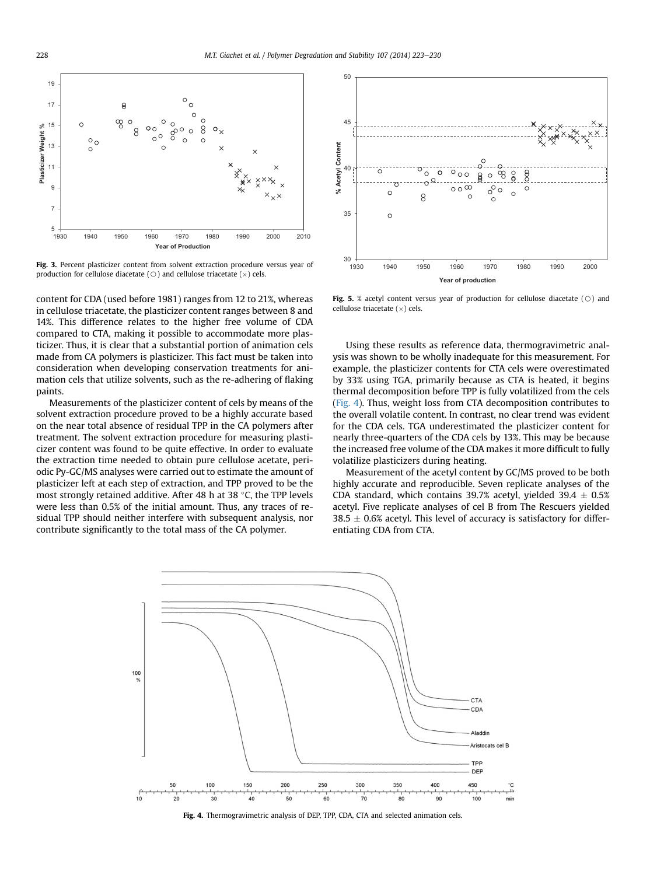<span id="page-5-0"></span>

Fig. 3. Percent plasticizer content from solvent extraction procedure versus year of production for cellulose diacetate ( $\bigcirc$  ) and cellulose triacetate ( $\times$ ) cels.

content for CDA (used before 1981) ranges from 12 to 21%, whereas in cellulose triacetate, the plasticizer content ranges between 8 and 14%. This difference relates to the higher free volume of CDA compared to CTA, making it possible to accommodate more plasticizer. Thus, it is clear that a substantial portion of animation cels made from CA polymers is plasticizer. This fact must be taken into consideration when developing conservation treatments for animation cels that utilize solvents, such as the re-adhering of flaking paints.

Measurements of the plasticizer content of cels by means of the solvent extraction procedure proved to be a highly accurate based on the near total absence of residual TPP in the CA polymers after treatment. The solvent extraction procedure for measuring plasticizer content was found to be quite effective. In order to evaluate the extraction time needed to obtain pure cellulose acetate, periodic Py-GC/MS analyses were carried out to estimate the amount of plasticizer left at each step of extraction, and TPP proved to be the most strongly retained additive. After 48 h at 38 $\degree$ C, the TPP levels were less than 0.5% of the initial amount. Thus, any traces of residual TPP should neither interfere with subsequent analysis, nor contribute significantly to the total mass of the CA polymer.



**Fig. 5.** % acetyl content versus year of production for cellulose diacetate  $(\circ)$  and  $\text{cellulose triacetate } (\times) \text{ cells.}$ 

Using these results as reference data, thermogravimetric analysis was shown to be wholly inadequate for this measurement. For example, the plasticizer contents for CTA cels were overestimated by 33% using TGA, primarily because as CTA is heated, it begins thermal decomposition before TPP is fully volatilized from the cels (Fig. 4). Thus, weight loss from CTA decomposition contributes to the overall volatile content. In contrast, no clear trend was evident for the CDA cels. TGA underestimated the plasticizer content for nearly three-quarters of the CDA cels by 13%. This may be because the increased free volume of the CDA makes it more difficult to fully volatilize plasticizers during heating.

Measurement of the acetyl content by GC/MS proved to be both highly accurate and reproducible. Seven replicate analyses of the CDA standard, which contains 39.7% acetyl, yielded 39.4  $\pm$  0.5% acetyl. Five replicate analyses of cel B from The Rescuers yielded  $38.5 \pm 0.6$ % acetyl. This level of accuracy is satisfactory for differentiating CDA from CTA.



Fig. 4. Thermogravimetric analysis of DEP, TPP, CDA, CTA and selected animation cels.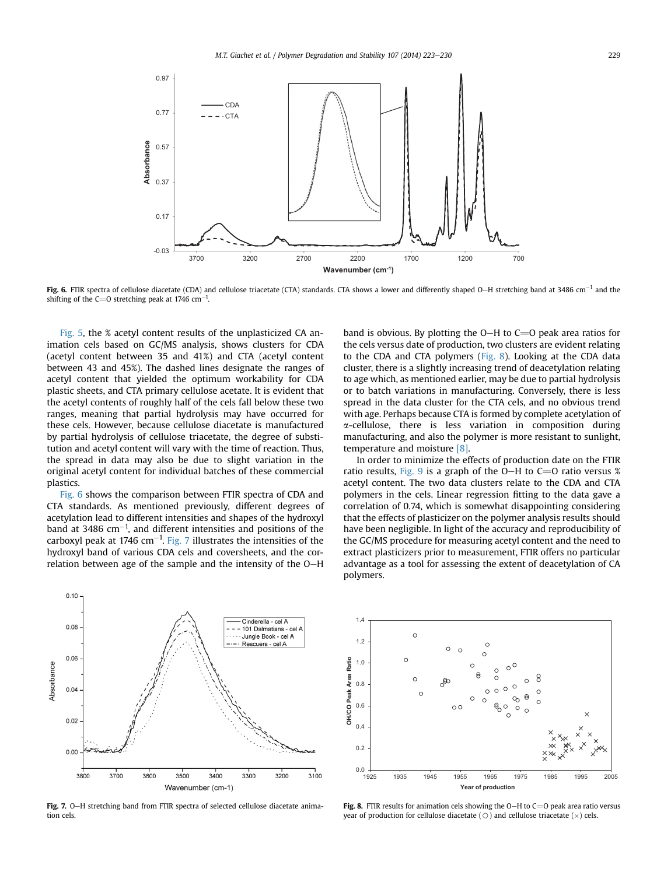

Fig. 6. FTIR spectra of cellulose diacetate (CDA) and cellulose triacetate (CTA) standards. CTA shows a lower and differently shaped O-H stretching band at 3486 cm<sup>-1</sup> and the shifting of the C=O stretching peak at 1746 cm<sup>-1</sup>.

[Fig. 5](#page-5-0), the % acetyl content results of the unplasticized CA animation cels based on GC/MS analysis, shows clusters for CDA (acetyl content between 35 and 41%) and CTA (acetyl content between 43 and 45%). The dashed lines designate the ranges of acetyl content that yielded the optimum workability for CDA plastic sheets, and CTA primary cellulose acetate. It is evident that the acetyl contents of roughly half of the cels fall below these two ranges, meaning that partial hydrolysis may have occurred for these cels. However, because cellulose diacetate is manufactured by partial hydrolysis of cellulose triacetate, the degree of substitution and acetyl content will vary with the time of reaction. Thus, the spread in data may also be due to slight variation in the original acetyl content for individual batches of these commercial plastics.

Fig. 6 shows the comparison between FTIR spectra of CDA and CTA standards. As mentioned previously, different degrees of acetylation lead to different intensities and shapes of the hydroxyl band at 3486 cm $^{-1}$ , and different intensities and positions of the carboxyl peak at 1746 cm $^{-1}$ . Fig. 7 illustrates the intensities of the hydroxyl band of various CDA cels and coversheets, and the correlation between age of the sample and the intensity of the O-H band is obvious. By plotting the  $O-H$  to  $C=O$  peak area ratios for the cels versus date of production, two clusters are evident relating to the CDA and CTA polymers (Fig. 8). Looking at the CDA data cluster, there is a slightly increasing trend of deacetylation relating to age which, as mentioned earlier, may be due to partial hydrolysis or to batch variations in manufacturing. Conversely, there is less spread in the data cluster for the CTA cels, and no obvious trend with age. Perhaps because CTA is formed by complete acetylation of a-cellulose, there is less variation in composition during manufacturing, and also the polymer is more resistant to sunlight, temperature and moisture [\[8\].](#page-7-0)

In order to minimize the effects of production date on the FTIR ratio results, [Fig. 9](#page-7-0) is a graph of the O-H to C=O ratio versus % acetyl content. The two data clusters relate to the CDA and CTA polymers in the cels. Linear regression fitting to the data gave a correlation of 0.74, which is somewhat disappointing considering that the effects of plasticizer on the polymer analysis results should have been negligible. In light of the accuracy and reproducibility of the GC/MS procedure for measuring acetyl content and the need to extract plasticizers prior to measurement, FTIR offers no particular advantage as a tool for assessing the extent of deacetylation of CA polymers.



Fig. 7. O-H stretching band from FTIR spectra of selected cellulose diacetate animation cels.



Fig. 8. FTIR results for animation cels showing the O-H to C=O peak area ratio versus year of production for cellulose diacetate (  $\odot$  ) and cellulose triacetate ( $\times$ ) cels.